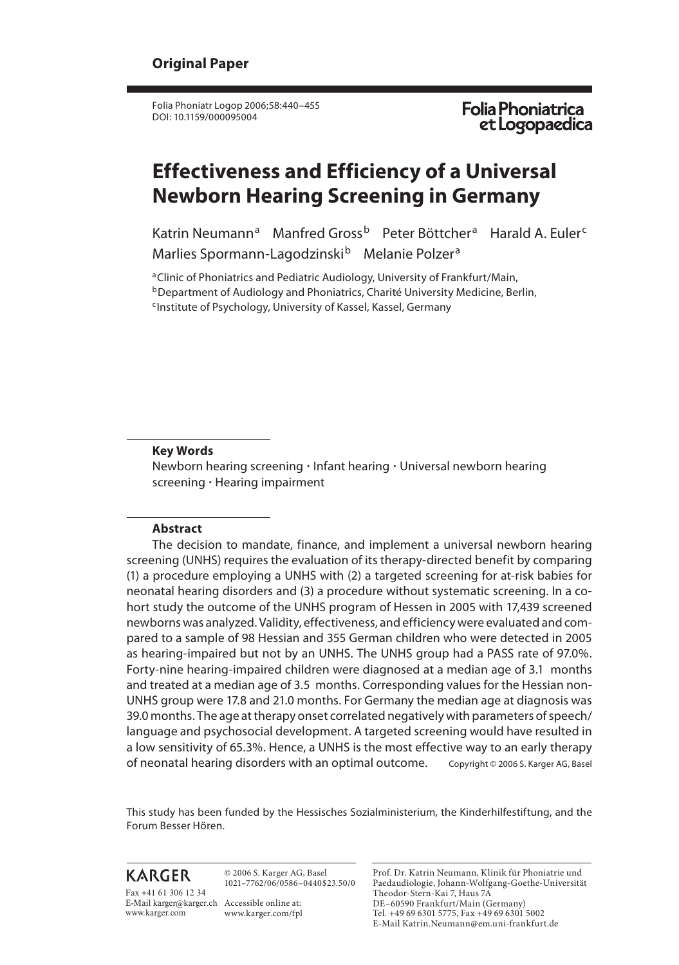Folia Phoniatr Logop 2006;58:440–455 DOI: 10.1159/000095004

Folia Phoniatrica<br>et Logopaedica

# **Effectiveness and Efficiency of a Universal Newborn Hearing Screening in Germany**

Katrin Neumann<sup>a</sup> Manfred Gross<sup>b</sup> Peter Böttcher<sup>a</sup> Harald A. Euler<sup>c</sup> Marlies Spormann-Lagodzinski<sup>b</sup> Melanie Polzer<sup>a</sup>

<sup>a</sup> Clinic of Phoniatrics and Pediatric Audiology, University of Frankfurt/Main, **b Department of Audiology and Phoniatrics, Charité University Medicine, Berlin,** <sup>c</sup>Institute of Psychology, University of Kassel, Kassel, Germany

#### **Key Words**

Newborn hearing screening  $\cdot$  Infant hearing  $\cdot$  Universal newborn hearing screening · Hearing impairment

### **Abstract**

 The decision to mandate, finance, and implement a universal newborn hearing screening (UNHS) requires the evaluation of its therapy-directed benefit by comparing (1) a procedure employing a UNHS with (2) a targeted screening for at-risk babies for neonatal hearing disorders and (3) a procedure without systematic screening. In a cohort study the outcome of the UNHS program of Hessen in 2005 with 17,439 screened newborns was analyzed. Validity, effectiveness, and efficiency were evaluated and compared to a sample of 98 Hessian and 355 German children who were detected in 2005 as hearing-impaired but not by an UNHS. The UNHS group had a PASS rate of 97.0%. Forty-nine hearing-impaired children were diagnosed at a median age of 3.1 months and treated at a median age of 3.5 months. Corresponding values for the Hessian non-UNHS group were 17.8 and 21.0 months. For Germany the median age at diagnosis was 39.0 months. The age at therapy onset correlated negatively with parameters of speech/ language and psychosocial development. A targeted screening would have resulted in a low sensitivity of 65.3%. Hence, a UNHS is the most effective way to an early therapy of neonatal hearing disorders with an optimal outcome. Copyright © 2006 S. Karger AG, Basel

 This study has been funded by the Hessisches Sozialministerium, the Kinderhilfestiftung, and the Forum Besser Hören.

## **KARGER**

 © 2006 S. Karger AG, Basel 1021–7762/06/0586–0440\$23.50/0

E-Mail karger@karger.ch Accessible online at: Fax +41 61 306 12 34 www.karger.com

www.karger.com/fpl

 Prof. Dr. Katrin Neumann, Klinik für Phoniatrie und Paedaudiologie, Johann-Wolfgang-Goethe-Universität Theodor-Stern-Kai 7, Haus 7A DE–60590 Frankfurt/Main (Germany) Tel. +49 69 6301 5775, Fax +49 69 6301 5002 E-Mail Katrin.Neumann@em.uni-frankfurt.de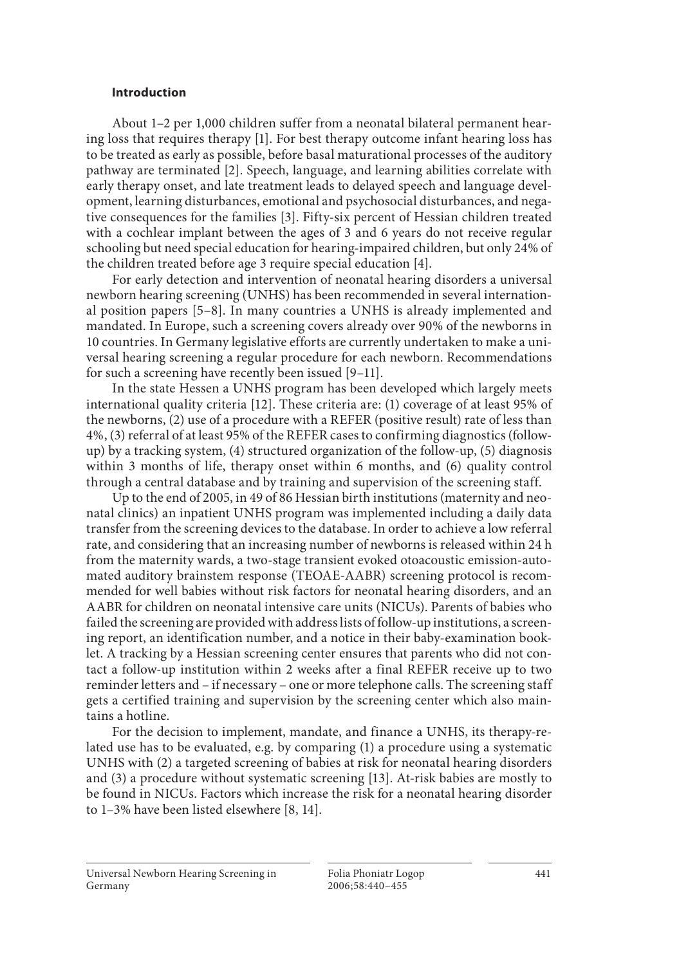### **Introduction**

 About 1–2 per 1,000 children suffer from a neonatal bilateral permanent hearing loss that requires therapy [1] . For best therapy outcome infant hearing loss has to be treated as early as possible, before basal maturational processes of the auditory pathway are terminated [2] . Speech, language, and learning abilities correlate with early therapy onset, and late treatment leads to delayed speech and language development, learning disturbances, emotional and psychosocial disturbances, and negative consequences for the families [3] . Fifty-six percent of Hessian children treated with a cochlear implant between the ages of 3 and 6 years do not receive regular schooling but need special education for hearing-impaired children, but only 24% of the children treated before age 3 require special education [4] .

 For early detection and intervention of neonatal hearing disorders a universal newborn hearing screening (UNHS) has been recommended in several international position papers [5–8]. In many countries a UNHS is already implemented and mandated. In Europe, such a screening covers already over 90% of the newborns in 10 countries. In Germany legislative efforts are currently undertaken to make a universal hearing screening a regular procedure for each newborn. Recommendations for such a screening have recently been issued [9–11] .

 In the state Hessen a UNHS program has been developed which largely meets international quality criteria [12]. These criteria are: (1) coverage of at least 95% of the newborns, (2) use of a procedure with a REFER (positive result) rate of less than 4%, (3) referral of at least 95% of the REFER cases to confirming diagnostics (followup) by a tracking system, (4) structured organization of the follow-up, (5) diagnosis within 3 months of life, therapy onset within 6 months, and (6) quality control through a central database and by training and supervision of the screening staff.

 Up to the end of 2005, in 49 of 86 Hessian birth institutions (maternity and neonatal clinics) an inpatient UNHS program was implemented including a daily data transfer from the screening devices to the database. In order to achieve a low referral rate, and considering that an increasing number of newborns is released within 24 h from the maternity wards, a two-stage transient evoked otoacoustic emission-automated auditory brainstem response (TEOAE-AABR) screening protocol is recommended for well babies without risk factors for neonatal hearing disorders, and an AABR for children on neonatal intensive care units (NICUs). Parents of babies who failed the screening are provided with address lists of follow-up institutions, a screening report, an identification number, and a notice in their baby-examination booklet. A tracking by a Hessian screening center ensures that parents who did not contact a follow-up institution within 2 weeks after a final REFER receive up to two reminder letters and – if necessary – one or more telephone calls. The screening staff gets a certified training and supervision by the screening center which also maintains a hotline.

 For the decision to implement, mandate, and finance a UNHS, its therapy-related use has to be evaluated, e.g. by comparing (1) a procedure using a systematic UNHS with (2) a targeted screening of babies at risk for neonatal hearing disorders and (3) a procedure without systematic screening [13] . At-risk babies are mostly to be found in NICUs. Factors which increase the risk for a neonatal hearing disorder to 1–3% have been listed elsewhere [8, 14].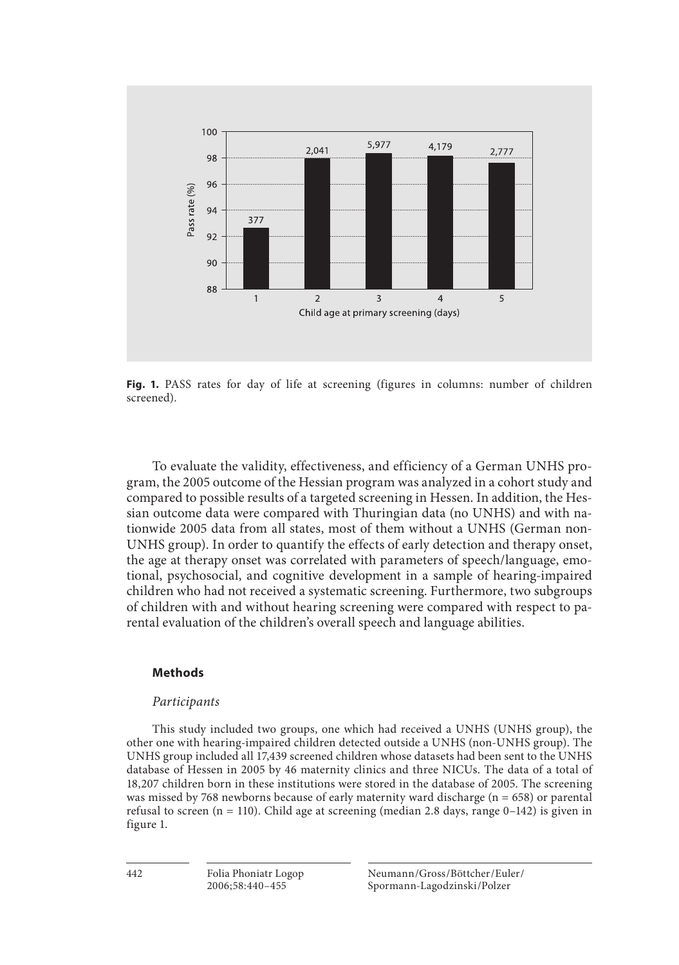

 **Fig. 1.** PASS rates for day of life at screening (figures in columns: number of children screened).

 To evaluate the validity, effectiveness, and efficiency of a German UNHS program, the 2005 outcome of the Hessian program was analyzed in a cohort study and compared to possible results of a targeted screening in Hessen. In addition, the Hessian outcome data were compared with Thuringian data (no UNHS) and with nationwide 2005 data from all states, most of them without a UNHS (German non-UNHS group). In order to quantify the effects of early detection and therapy onset, the age at therapy onset was correlated with parameters of speech/language, emotional, psychosocial, and cognitive development in a sample of hearing-impaired children who had not received a systematic screening. Furthermore, two subgroups of children with and without hearing screening were compared with respect to parental evaluation of the children's overall speech and language abilities.

#### **Methods**

#### *Participants*

 This study included two groups, one which had received a UNHS (UNHS group), the other one with hearing-impaired children detected outside a UNHS (non-UNHS group). The UNHS group included all 17,439 screened children whose datasets had been sent to the UNHS database of Hessen in 2005 by 46 maternity clinics and three NICUs. The data of a total of 18,207 children born in these institutions were stored in the database of 2005. The screening was missed by 768 newborns because of early maternity ward discharge (n = 658) or parental refusal to screen (n = 110). Child age at screening (median 2.8 days, range  $0-142$ ) is given in figure 1.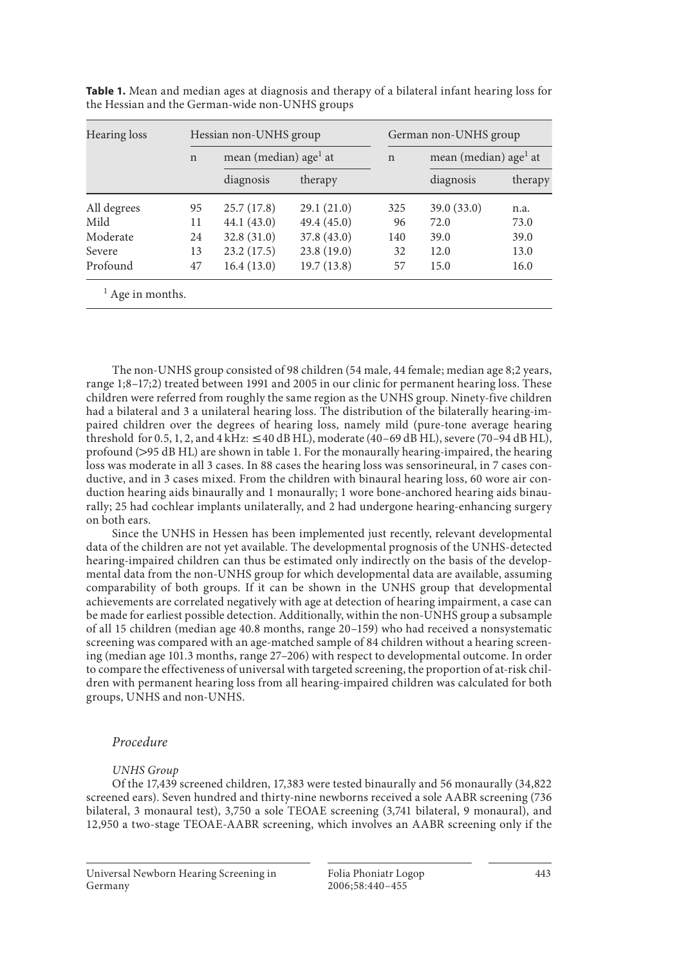| Hearing loss | Hessian non-UNHS group |                                   |             | German non-UNHS group |                                   |         |  |
|--------------|------------------------|-----------------------------------|-------------|-----------------------|-----------------------------------|---------|--|
|              | $\mathsf{n}$           | mean (median) age <sup>1</sup> at |             | $\mathbf n$           | mean (median) age <sup>1</sup> at |         |  |
|              |                        | diagnosis                         | therapy     |                       | diagnosis                         | therapy |  |
| All degrees  | 95                     | 25.7(17.8)                        | 29.1(21.0)  | 325                   | 39.0(33.0)                        | n.a.    |  |
| Mild         | 11                     | 44.1(43.0)                        | 49.4 (45.0) | 96                    | 72.0                              | 73.0    |  |
| Moderate     | 24                     | 32.8(31.0)                        | 37.8(43.0)  | 140                   | 39.0                              | 39.0    |  |
| Severe       | 13                     | 23.2(17.5)                        | 23.8(19.0)  | 32                    | 12.0                              | 13.0    |  |
| Profound     | 47                     | 16.4(13.0)                        | 19.7(13.8)  | 57                    | 15.0                              | 16.0    |  |

**Table 1.** Mean and median ages at diagnosis and therapy of a bilateral infant hearing loss for the Hessian and the German-wide non-UNHS groups

The non-UNHS group consisted of 98 children (54 male, 44 female; median age 8;2 years, range 1; 8–17; 2) treated between 1991 and 2005 in our clinic for permanent hearing loss. These children were referred from roughly the same region as the UNHS group. Ninety-five children had a bilateral and 3 a unilateral hearing loss. The distribution of the bilaterally hearing-impaired children over the degrees of hearing loss, namely mild (pure-tone average hearing threshold for 0.5, 1, 2, and  $4$  kHz:  $\leq$  40 dB HL), moderate (40–69 dB HL), severe (70–94 dB HL), profound (>95 dB HL) are shown in table 1. For the monaurally hearing-impaired, the hearing loss was moderate in all 3 cases. In 88 cases the hearing loss was sensorineural, in 7 cases conductive, and in 3 cases mixed. From the children with binaural hearing loss, 60 wore air conduction hearing aids binaurally and 1 monaurally; 1 wore bone-anchored hearing aids binaurally; 25 had cochlear implants unilaterally, and 2 had undergone hearing-enhancing surgery on both ears.

 Since the UNHS in Hessen has been implemented just recently, relevant developmental data of the children are not yet available. The developmental prognosis of the UNHS-detected hearing-impaired children can thus be estimated only indirectly on the basis of the developmental data from the non-UNHS group for which developmental data are available, assuming comparability of both groups. If it can be shown in the UNHS group that developmental achievements are correlated negatively with age at detection of hearing impairment, a case can be made for earliest possible detection. Additionally, within the non-UNHS group a subsample of all 15 children (median age 40.8 months, range 20–159) who had received a nonsystematic screening was compared with an age-matched sample of 84 children without a hearing screening (median age 101.3 months, range 27–206) with respect to developmental outcome. In order to compare the effectiveness of universal with targeted screening, the proportion of at-risk children with permanent hearing loss from all hearing-impaired children was calculated for both groups, UNHS and non-UNHS.

### *Procedure*

#### *UNHS Group*

 Of the 17,439 screened children, 17,383 were tested binaurally and 56 monaurally (34,822 screened ears). Seven hundred and thirty-nine newborns received a sole AABR screening (736 bilateral, 3 monaural test), 3,750 a sole TEOAE screening (3,741 bilateral, 9 monaural), and 12,950 a two-stage TEOAE-AABR screening, which involves an AABR screening only if the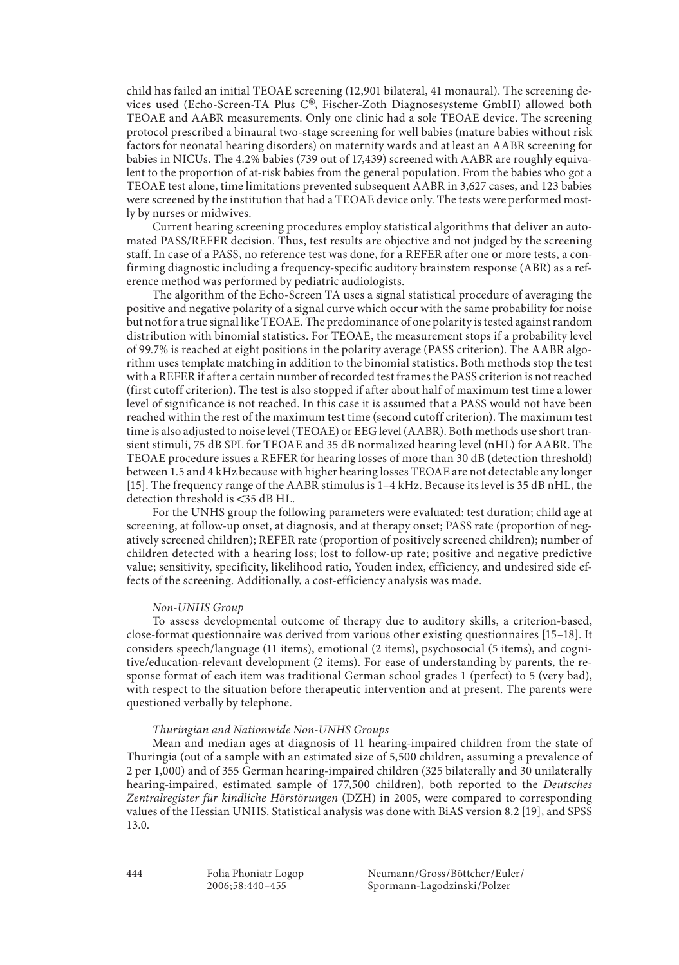child has failed an initial TEOAE screening (12,901 bilateral, 41 monaural). The screening devices used (Echo-Screen-TA Plus C®, Fischer-Zoth Diagnosesysteme GmbH) allowed both TEOAE and AABR measurements. Only one clinic had a sole TEOAE device. The screening protocol prescribed a binaural two-stage screening for well babies (mature babies without risk factors for neonatal hearing disorders) on maternity wards and at least an AABR screening for babies in NICUs. The 4.2% babies (739 out of 17,439) screened with AABR are roughly equivalent to the proportion of at-risk babies from the general population. From the babies who got a TEOAE test alone, time limitations prevented subsequent AABR in 3,627 cases, and 123 babies were screened by the institution that had a TEOAE device only. The tests were performed mostly by nurses or midwives.

 Current hearing screening procedures employ statistical algorithms that deliver an automated PASS/REFER decision. Thus, test results are objective and not judged by the screening staff. In case of a PASS, no reference test was done, for a REFER after one or more tests, a confirming diagnostic including a frequency-specific auditory brainstem response (ABR) as a reference method was performed by pediatric audiologists.

 The algorithm of the Echo-Screen TA uses a signal statistical procedure of averaging the positive and negative polarity of a signal curve which occur with the same probability for noise but not for a true signal like TEOAE. The predominance of one polarity is tested against random distribution with binomial statistics. For TEOAE, the measurement stops if a probability level of 99.7% is reached at eight positions in the polarity average (PASS criterion). The AABR algorithm uses template matching in addition to the binomial statistics. Both methods stop the test with a REFER if after a certain number of recorded test frames the PASS criterion is not reached (first cutoff criterion). The test is also stopped if after about half of maximum test time a lower level of significance is not reached. In this case it is assumed that a PASS would not have been reached within the rest of the maximum test time (second cutoff criterion). The maximum test time is also adjusted to noise level (TEOAE) or EEG level (AABR). Both methods use short transient stimuli, 75 dB SPL for TEOAE and 35 dB normalized hearing level (nHL) for AABR. The TEOAE procedure issues a REFER for hearing losses of more than 30 dB (detection threshold) between 1.5 and 4 kHz because with higher hearing losses TEOAE are not detectable any longer [15] . The frequency range of the AABR stimulus is 1–4 kHz. Because its level is 35 dB nHL, the detection threshold is <35 dB HL.

 For the UNHS group the following parameters were evaluated: test duration; child age at screening, at follow-up onset, at diagnosis, and at therapy onset; PASS rate (proportion of negatively screened children); REFER rate (proportion of positively screened children); number of children detected with a hearing loss; lost to follow-up rate; positive and negative predictive value; sensitivity, specificity, likelihood ratio, Youden index, efficiency, and undesired side effects of the screening. Additionally, a cost-efficiency analysis was made.

#### *Non-UNHS Group*

 To assess developmental outcome of therapy due to auditory skills, a criterion-based, close-format questionnaire was derived from various other existing questionnaires [15–18] . It considers speech/language (11 items), emotional (2 items), psychosocial (5 items), and cognitive/education-relevant development (2 items). For ease of understanding by parents, the response format of each item was traditional German school grades 1 (perfect) to 5 (very bad), with respect to the situation before therapeutic intervention and at present. The parents were questioned verbally by telephone.

#### *Thuringian and Nationwide Non-UNHS Groups*

 Mean and median ages at diagnosis of 11 hearing-impaired children from the state of Thuringia (out of a sample with an estimated size of 5,500 children, assuming a prevalence of 2 per 1,000) and of 355 German hearing-impaired children (325 bilaterally and 30 unilaterally hearing-impaired, estimated sample of 177,500 children), both reported to the *Deutsches Zentralregister für kindliche Hörstörungen* (DZH) in 2005, were compared to corresponding values of the Hessian UNHS. Statistical analysis was done with BiAS version 8.2 [19] , and SPSS 13.0.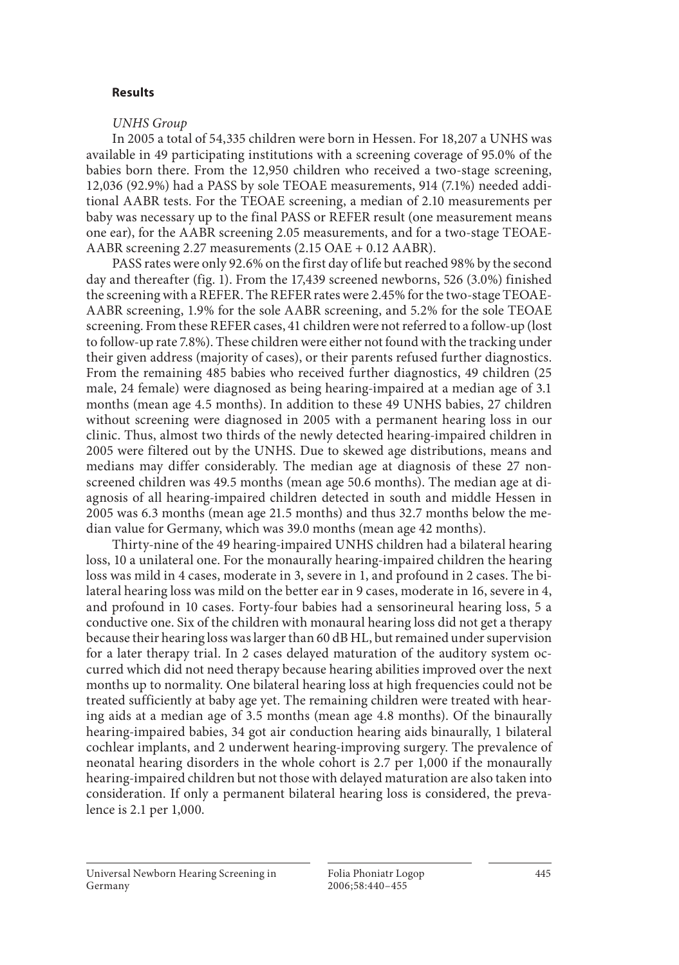### **Results**

### *UNHS Group*

 In 2005 a total of 54,335 children were born in Hessen. For 18,207 a UNHS was available in 49 participating institutions with a screening coverage of 95.0% of the babies born there. From the 12,950 children who received a two-stage screening, 12,036 (92.9%) had a PASS by sole TEOAE measurements, 914 (7.1%) needed additional AABR tests. For the TEOAE screening, a median of 2.10 measurements per baby was necessary up to the final PASS or REFER result (one measurement means one ear), for the AABR screening 2.05 measurements, and for a two-stage TEOAE-AABR screening 2.27 measurements (2.15 OAE + 0.12 AABR).

 PASS rates were only 92.6% on the first day of life but reached 98% by the second day and thereafter (fig. 1). From the 17,439 screened newborns, 526 (3.0%) finished the screening with a REFER. The REFER rates were 2.45% for the two-stage TEOAE-AABR screening, 1.9% for the sole AABR screening, and 5.2% for the sole TEOAE screening. From these REFER cases, 41 children were not referred to a follow-up (lost to follow-up rate 7.8%). These children were either not found with the tracking under their given address (majority of cases), or their parents refused further diagnostics. From the remaining 485 babies who received further diagnostics, 49 children (25 male, 24 female) were diagnosed as being hearing-impaired at a median age of 3.1 months (mean age 4.5 months). In addition to these 49 UNHS babies, 27 children without screening were diagnosed in 2005 with a permanent hearing loss in our clinic. Thus, almost two thirds of the newly detected hearing-impaired children in 2005 were filtered out by the UNHS. Due to skewed age distributions, means and medians may differ considerably. The median age at diagnosis of these 27 nonscreened children was 49.5 months (mean age 50.6 months). The median age at diagnosis of all hearing-impaired children detected in south and middle Hessen in 2005 was 6.3 months (mean age 21.5 months) and thus 32.7 months below the median value for Germany, which was 39.0 months (mean age 42 months).

 Thirty-nine of the 49 hearing-impaired UNHS children had a bilateral hearing loss, 10 a unilateral one. For the monaurally hearing-impaired children the hearing loss was mild in 4 cases, moderate in 3, severe in 1, and profound in 2 cases. The bilateral hearing loss was mild on the better ear in 9 cases, moderate in 16, severe in 4, and profound in 10 cases. Forty-four babies had a sensorineural hearing loss, 5 a conductive one. Six of the children with monaural hearing loss did not get a therapy because their hearing loss was larger than 60 dB HL, but remained under supervision for a later therapy trial. In 2 cases delayed maturation of the auditory system occurred which did not need therapy because hearing abilities improved over the next months up to normality. One bilateral hearing loss at high frequencies could not be treated sufficiently at baby age yet. The remaining children were treated with hearing aids at a median age of 3.5 months (mean age 4.8 months). Of the binaurally hearing-impaired babies, 34 got air conduction hearing aids binaurally, 1 bilateral cochlear implants, and 2 underwent hearing-improving surgery. The prevalence of neonatal hearing disorders in the whole cohort is 2.7 per 1,000 if the monaurally hearing-impaired children but not those with delayed maturation are also taken into consideration. If only a permanent bilateral hearing loss is considered, the prevalence is 2.1 per 1,000.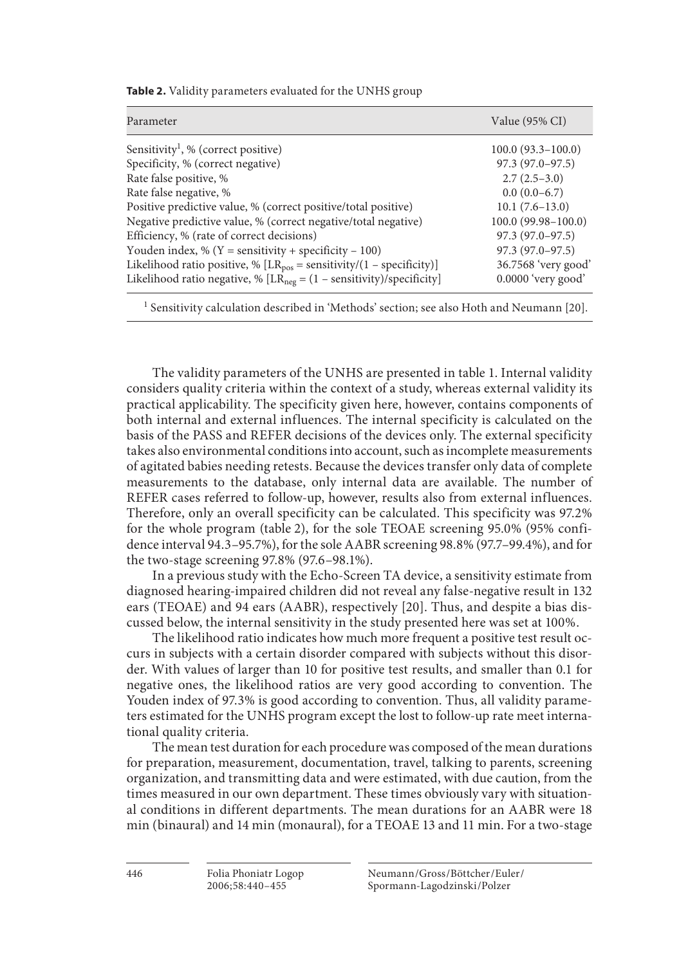| Parameter                                                                 | Value (95% CI)         |  |  |
|---------------------------------------------------------------------------|------------------------|--|--|
| Sensitivity <sup>1</sup> , % (correct positive)                           | $100.0(93.3-100.0)$    |  |  |
| Specificity, % (correct negative)                                         | $97.3(97.0-97.5)$      |  |  |
| Rate false positive, %                                                    | $2.7(2.5-3.0)$         |  |  |
| Rate false negative, %                                                    | $0.0(0.0-6.7)$         |  |  |
| Positive predictive value, % (correct positive/total positive)            | $10.1 (7.6 - 13.0)$    |  |  |
| Negative predictive value, % (correct negative/total negative)            | $100.0(99.98 - 100.0)$ |  |  |
| Efficiency, % (rate of correct decisions)                                 | $97.3(97.0-97.5)$      |  |  |
| Youden index, % ( $Y =$ sensitivity + specificity – 100)                  | $97.3(97.0-97.5)$      |  |  |
| Likelihood ratio positive, % $[LR_{pos} = sensitivity/(1 - specificity)]$ | 36.7568 'very good'    |  |  |
| Likelihood ratio negative, % $[LR_{neg} = (1 - sensitivity)/specificity]$ | $0.0000$ 'very good'   |  |  |

**Table 2.** Validity parameters evaluated for the UNHS group

<sup>1</sup> Sensitivity calculation described in 'Methods' section; see also Hoth and Neumann [20].

The validity parameters of the UNHS are presented in table 1. Internal validity considers quality criteria within the context of a study, whereas external validity its practical applicability. The specificity given here, however, contains components of both internal and external influences. The internal specificity is calculated on the basis of the PASS and REFER decisions of the devices only. The external specificity takes also environmental conditions into account, such as incomplete measurements of agitated babies needing retests. Because the devices transfer only data of complete measurements to the database, only internal data are available. The number of REFER cases referred to follow-up, however, results also from external influences. Therefore, only an overall specificity can be calculated. This specificity was 97.2% for the whole program (table 2), for the sole TEOAE screening 95.0% (95% confidence interval 94.3–95.7%), for the sole AABR screening 98.8% (97.7–99.4%), and for the two-stage screening 97.8% (97.6–98.1%).

 In a previous study with the Echo-Screen TA device, a sensitivity estimate from diagnosed hearing-impaired children did not reveal any false-negative result in 132 ears (TEOAE) and 94 ears (AABR), respectively [20]. Thus, and despite a bias discussed below, the internal sensitivity in the study presented here was set at 100%.

 The likelihood ratio indicates how much more frequent a positive test result occurs in subjects with a certain disorder compared with subjects without this disorder. With values of larger than 10 for positive test results, and smaller than 0.1 for negative ones, the likelihood ratios are very good according to convention. The Youden index of 97.3% is good according to convention. Thus, all validity parameters estimated for the UNHS program except the lost to follow-up rate meet international quality criteria.

 The mean test duration for each procedure was composed of the mean durations for preparation, measurement, documentation, travel, talking to parents, screening organization, and transmitting data and were estimated, with due caution, from the times measured in our own department. These times obviously vary with situational conditions in different departments. The mean durations for an AABR were 18 min (binaural) and 14 min (monaural), for a TEOAE 13 and 11 min. For a two-stage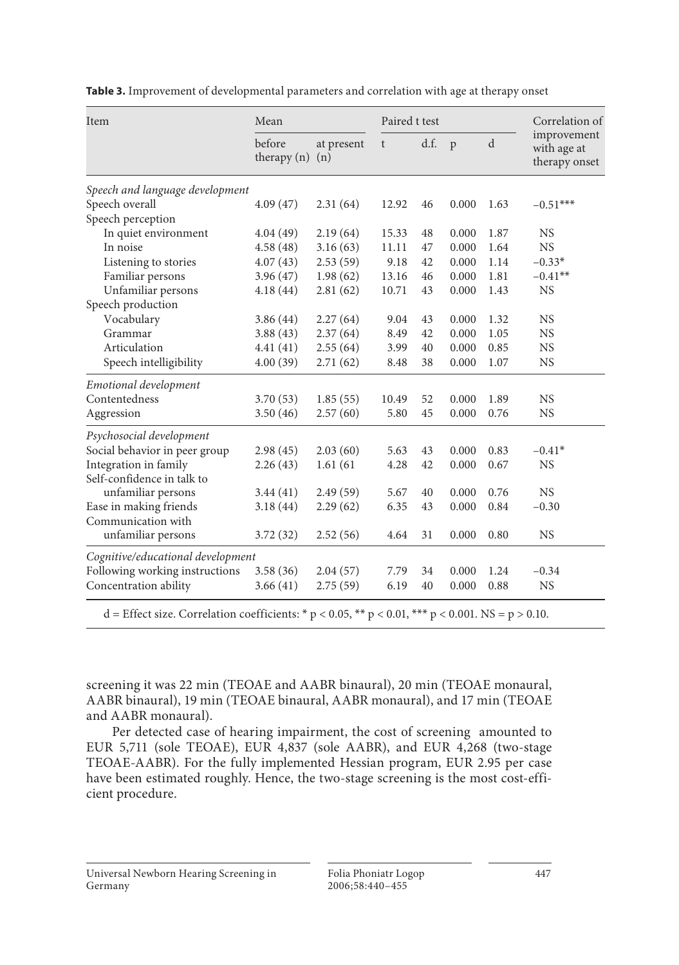| Item                                                                                                          | Mean                    |                   | Paired t test |      |       |      | Correlation of                              |
|---------------------------------------------------------------------------------------------------------------|-------------------------|-------------------|---------------|------|-------|------|---------------------------------------------|
|                                                                                                               | before<br>therapy $(n)$ | at present<br>(n) | t             | d.f. | p     | d    | improvement<br>with age at<br>therapy onset |
| Speech and language development                                                                               |                         |                   |               |      |       |      |                                             |
| Speech overall                                                                                                | 4.09(47)                | 2.31(64)          | 12.92         | 46   | 0.000 | 1.63 | $-0.51***$                                  |
| Speech perception                                                                                             |                         |                   |               |      |       |      |                                             |
| In quiet environment                                                                                          | 4.04(49)                | 2.19(64)          | 15.33         | 48   | 0.000 | 1.87 | <b>NS</b>                                   |
| In noise                                                                                                      | 4.58(48)                | 3.16(63)          | 11.11         | 47   | 0.000 | 1.64 | <b>NS</b>                                   |
| Listening to stories                                                                                          | 4.07(43)                | 2.53(59)          | 9.18          | 42   | 0.000 | 1.14 | $-0.33*$                                    |
| Familiar persons                                                                                              | 3.96(47)                | 1.98(62)          | 13.16         | 46   | 0.000 | 1.81 | $-0.41**$                                   |
| Unfamiliar persons                                                                                            | 4.18(44)                | 2.81(62)          | 10.71         | 43   | 0.000 | 1.43 | <b>NS</b>                                   |
| Speech production                                                                                             |                         |                   |               |      |       |      |                                             |
| Vocabulary                                                                                                    | 3.86(44)                | 2.27(64)          | 9.04          | 43   | 0.000 | 1.32 | <b>NS</b>                                   |
| Grammar                                                                                                       | 3.88(43)                | 2.37(64)          | 8.49          | 42   | 0.000 | 1.05 | <b>NS</b>                                   |
| Articulation                                                                                                  | 4.41(41)                | 2.55(64)          | 3.99          | 40   | 0.000 | 0.85 | <b>NS</b>                                   |
| Speech intelligibility                                                                                        | 4.00(39)                | 2.71(62)          | 8.48          | 38   | 0.000 | 1.07 | <b>NS</b>                                   |
| Emotional development                                                                                         |                         |                   |               |      |       |      |                                             |
| Contentedness                                                                                                 | 3.70(53)                | 1.85(55)          | 10.49         | 52   | 0.000 | 1.89 | <b>NS</b>                                   |
| Aggression                                                                                                    | 3.50(46)                | 2.57(60)          | 5.80          | 45   | 0.000 | 0.76 | NS.                                         |
| Psychosocial development                                                                                      |                         |                   |               |      |       |      |                                             |
| Social behavior in peer group                                                                                 | 2.98(45)                | 2.03(60)          | 5.63          | 43   | 0.000 | 0.83 | $-0.41*$                                    |
| Integration in family                                                                                         | 2.26(43)                | 1.61(61)          | 4.28          | 42   | 0.000 | 0.67 | <b>NS</b>                                   |
| Self-confidence in talk to                                                                                    |                         |                   |               |      |       |      |                                             |
| unfamiliar persons                                                                                            | 3.44(41)                | 2.49(59)          | 5.67          | 40   | 0.000 | 0.76 | <b>NS</b>                                   |
| Ease in making friends                                                                                        | 3.18(44)                | 2.29(62)          | 6.35          | 43   | 0.000 | 0.84 | $-0.30$                                     |
| Communication with                                                                                            |                         |                   |               |      |       |      |                                             |
| unfamiliar persons                                                                                            | 3.72(32)                | 2.52(56)          | 4.64          | 31   | 0.000 | 0.80 | <b>NS</b>                                   |
| Cognitive/educational development                                                                             |                         |                   |               |      |       |      |                                             |
| Following working instructions                                                                                | 3.58(36)                | 2.04(57)          | 7.79          | 34   | 0.000 | 1.24 | $-0.34$                                     |
| Concentration ability                                                                                         | 3.66(41)                | 2.75(59)          | 6.19          | 40   | 0.000 | 0.88 | <b>NS</b>                                   |
| d = Effect size. Correlation coefficients: * $p < 0.05$ , ** $p < 0.01$ , *** $p < 0.001$ . NS = $p > 0.10$ . |                         |                   |               |      |       |      |                                             |

**Table 3.** Improvement of developmental parameters and correlation with age at therapy onset

screening it was 22 min (TEOAE and AABR binaural), 20 min (TEOAE monaural, AABR binaural), 19 min (TEOAE binaural, AABR monaural), and 17 min (TEOAE and AABR monaural).

 Per detected case of hearing impairment, the cost of screening amounted to EUR 5,711 (sole TEOAE), EUR 4,837 (sole AABR), and EUR 4,268 (two-stage TEOAE-AABR). For the fully implemented Hessian program, EUR 2.95 per case have been estimated roughly. Hence, the two-stage screening is the most cost-efficient procedure.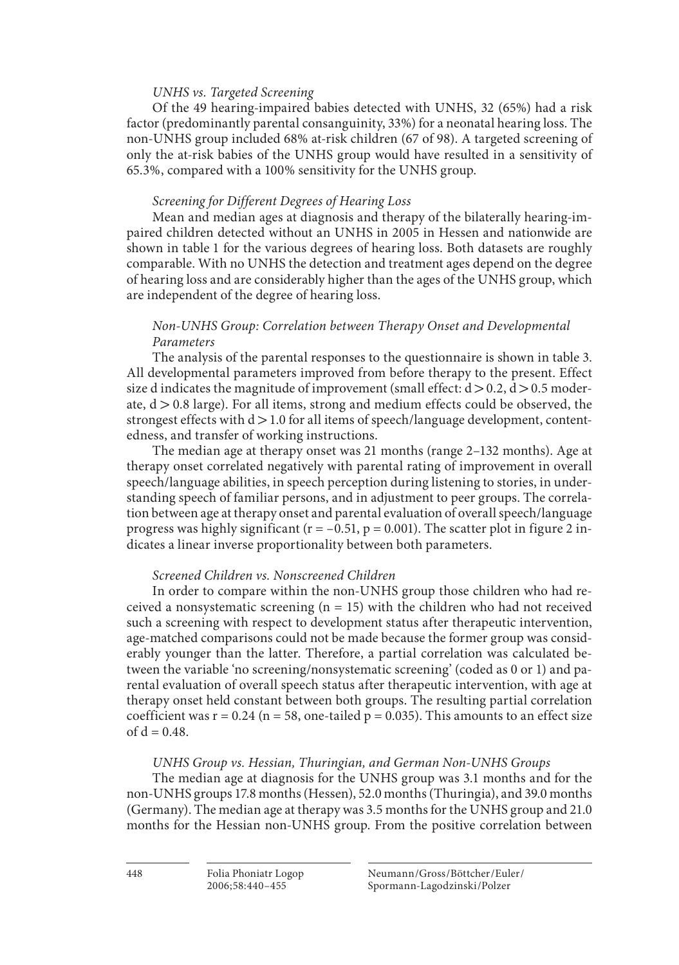### *UNHS vs. Targeted Screening*

 Of the 49 hearing-impaired babies detected with UNHS, 32 (65%) had a risk factor (predominantly parental consanguinity, 33%) for a neonatal hearing loss. The non-UNHS group included 68% at-risk children (67 of 98). A targeted screening of only the at-risk babies of the UNHS group would have resulted in a sensitivity of 65.3%, compared with a 100% sensitivity for the UNHS group.

### *Screening for Different Degrees of Hearing Loss*

 Mean and median ages at diagnosis and therapy of the bilaterally hearing-impaired children detected without an UNHS in 2005 in Hessen and nationwide are shown in table 1 for the various degrees of hearing loss. Both datasets are roughly comparable. With no UNHS the detection and treatment ages depend on the degree of hearing loss and are considerably higher than the ages of the UNHS group, which are independent of the degree of hearing loss.

### *Non-UNHS Group: Correlation between Therapy Onset and Developmental Parameters*

The analysis of the parental responses to the questionnaire is shown in table 3. All developmental parameters improved from before therapy to the present. Effect size d indicates the magnitude of improvement (small effect:  $d > 0.2$ ,  $d > 0.5$  moderate,  $d > 0.8$  large). For all items, strong and medium effects could be observed, the strongest effects with  $d > 1.0$  for all items of speech/language development, contentedness, and transfer of working instructions.

 The median age at therapy onset was 21 months (range 2–132 months). Age at therapy onset correlated negatively with parental rating of improvement in overall speech/language abilities, in speech perception during listening to stories, in understanding speech of familiar persons, and in adjustment to peer groups. The correlation between age at therapy onset and parental evaluation of overall speech/language progress was highly significant ( $r = -0.51$ ,  $p = 0.001$ ). The scatter plot in figure 2 indicates a linear inverse proportionality between both parameters.

### *Screened Children vs. Nonscreened Children*

 In order to compare within the non-UNHS group those children who had received a nonsystematic screening  $(n = 15)$  with the children who had not received such a screening with respect to development status after therapeutic intervention, age-matched comparisons could not be made because the former group was considerably younger than the latter. Therefore, a partial correlation was calculated between the variable 'no screening/nonsystematic screening' (coded as 0 or 1) and parental evaluation of overall speech status after therapeutic intervention, with age at therapy onset held constant between both groups. The resulting partial correlation coefficient was  $r = 0.24$  (n = 58, one-tailed p = 0.035). This amounts to an effect size of  $d = 0.48$ .

### *UNHS Group vs. Hessian, Thuringian, and German Non-UNHS Groups*

 The median age at diagnosis for the UNHS group was 3.1 months and for the non-UNHS groups 17.8 months (Hessen), 52.0 months (Thuringia), and 39.0 months (Germany). The median age at therapy was 3.5 months for the UNHS group and 21.0 months for the Hessian non-UNHS group. From the positive correlation between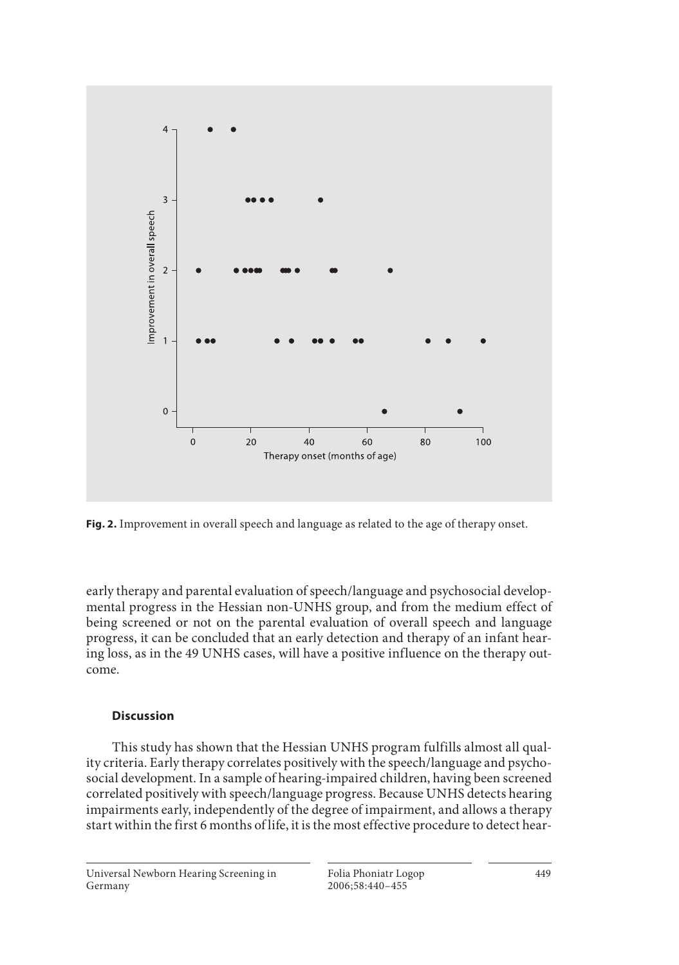

 **Fig. 2.** Improvement in overall speech and language as related to the age of therapy onset.

early therapy and parental evaluation of speech/language and psychosocial developmental progress in the Hessian non-UNHS group, and from the medium effect of being screened or not on the parental evaluation of overall speech and language progress, it can be concluded that an early detection and therapy of an infant hearing loss, as in the 49 UNHS cases, will have a positive influence on the therapy outcome.

### **Discussion**

 This study has shown that the Hessian UNHS program fulfills almost all quality criteria. Early therapy correlates positively with the speech/language and psychosocial development. In a sample of hearing-impaired children, having been screened correlated positively with speech/language progress. Because UNHS detects hearing impairments early, independently of the degree of impairment, and allows a therapy start within the first 6 months of life, it is the most effective procedure to detect hear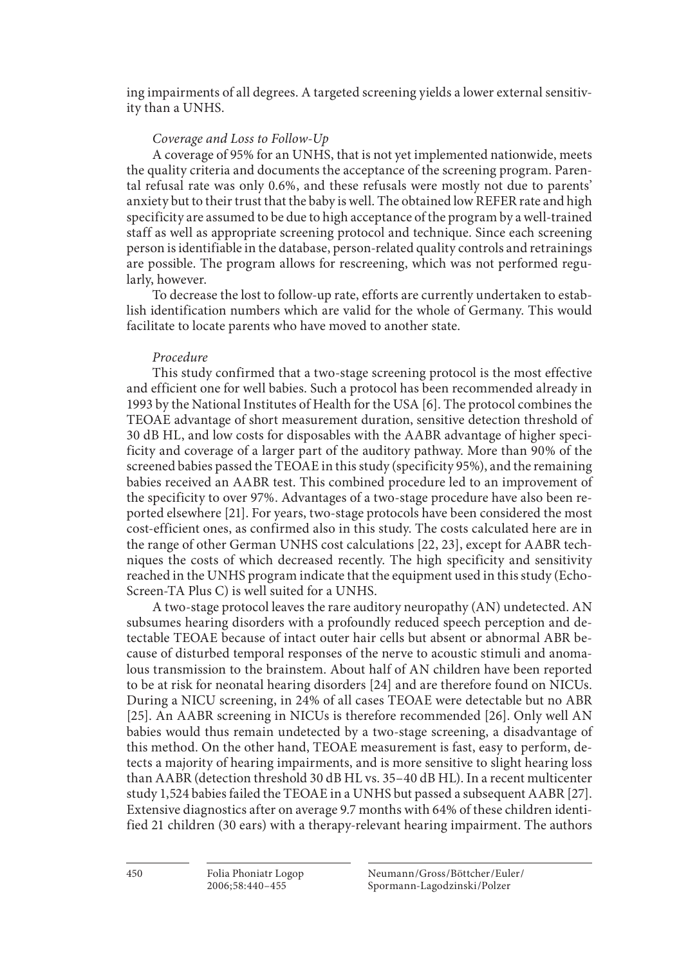ing impairments of all degrees. A targeted screening yields a lower external sensitivity than a UNHS.

### *Coverage and Loss to Follow-Up*

 A coverage of 95% for an UNHS, that is not yet implemented nationwide, meets the quality criteria and documents the acceptance of the screening program. Parental refusal rate was only 0.6%, and these refusals were mostly not due to parents' anxiety but to their trust that the baby is well. The obtained low REFER rate and high specificity are assumed to be due to high acceptance of the program by a well-trained staff as well as appropriate screening protocol and technique. Since each screening person is identifiable in the database, person-related quality controls and retrainings are possible. The program allows for rescreening, which was not performed regularly, however.

 To decrease the lost to follow-up rate, efforts are currently undertaken to establish identification numbers which are valid for the whole of Germany. This would facilitate to locate parents who have moved to another state.

### *Procedure*

 This study confirmed that a two-stage screening protocol is the most effective and efficient one for well babies. Such a protocol has been recommended already in 1993 by the National Institutes of Health for the USA [6] . The protocol combines the TEOAE advantage of short measurement duration, sensitive detection threshold of 30 dB HL, and low costs for disposables with the AABR advantage of higher specificity and coverage of a larger part of the auditory pathway. More than 90% of the screened babies passed the TEOAE in this study (specificity 95%), and the remaining babies received an AABR test. This combined procedure led to an improvement of the specificity to over 97%. Advantages of a two-stage procedure have also been reported elsewhere [21] . For years, two-stage protocols have been considered the most cost-efficient ones, as confirmed also in this study. The costs calculated here are in the range of other German UNHS cost calculations [22, 23] , except for AABR techniques the costs of which decreased recently. The high specificity and sensitivity reached in the UNHS program indicate that the equipment used in this study (Echo-Screen-TA Plus C) is well suited for a UNHS.

 A two-stage protocol leaves the rare auditory neuropathy (AN) undetected. AN subsumes hearing disorders with a profoundly reduced speech perception and detectable TEOAE because of intact outer hair cells but absent or abnormal ABR because of disturbed temporal responses of the nerve to acoustic stimuli and anomalous transmission to the brainstem. About half of AN children have been reported to be at risk for neonatal hearing disorders [24] and are therefore found on NICUs. During a NICU screening, in 24% of all cases TEOAE were detectable but no ABR [25] . An AABR screening in NICUs is therefore recommended [26] . Only well AN babies would thus remain undetected by a two-stage screening, a disadvantage of this method. On the other hand, TEOAE measurement is fast, easy to perform, detects a majority of hearing impairments, and is more sensitive to slight hearing loss than AABR (detection threshold 30 dB HL vs. 35–40 dB HL). In a recent multicenter study 1,524 babies failed the TEOAE in a UNHS but passed a subsequent AABR [27] . Extensive diagnostics after on average 9.7 months with 64% of these children identified 21 children (30 ears) with a therapy-relevant hearing impairment. The authors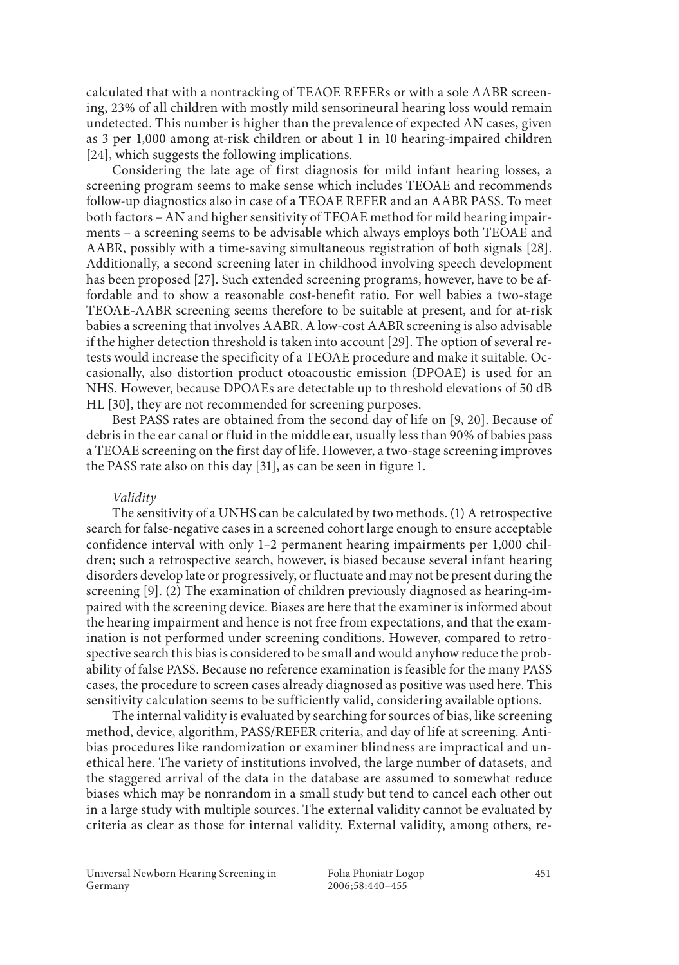calculated that with a nontracking of TEAOE REFERs or with a sole AABR screening, 23% of all children with mostly mild sensorineural hearing loss would remain undetected. This number is higher than the prevalence of expected AN cases, given as 3 per 1,000 among at-risk children or about 1 in 10 hearing-impaired children [24], which suggests the following implications.

 Considering the late age of first diagnosis for mild infant hearing losses, a screening program seems to make sense which includes TEOAE and recommends follow-up diagnostics also in case of a TEOAE REFER and an AABR PASS. To meet both factors – AN and higher sensitivity of TEOAE method for mild hearing impairments – a screening seems to be advisable which always employs both TEOAE and AABR, possibly with a time-saving simultaneous registration of both signals [28] . Additionally, a second screening later in childhood involving speech development has been proposed [27] . Such extended screening programs, however, have to be affordable and to show a reasonable cost-benefit ratio. For well babies a two-stage TEOAE-AABR screening seems therefore to be suitable at present, and for at-risk babies a screening that involves AABR. A low-cost AABR screening is also advisable if the higher detection threshold is taken into account [29] . The option of several retests would increase the specificity of a TEOAE procedure and make it suitable. Occasionally, also distortion product otoacoustic emission (DPOAE) is used for an NHS. However, because DPOAEs are detectable up to threshold elevations of 50 dB HL [30], they are not recommended for screening purposes.

 Best PASS rates are obtained from the second day of life on [9, 20] . Because of debris in the ear canal or fluid in the middle ear, usually less than 90% of babies pass a TEOAE screening on the first day of life. However, a two-stage screening improves the PASS rate also on this day [31], as can be seen in figure 1.

### *Validity*

 The sensitivity of a UNHS can be calculated by two methods. (1) A retrospective search for false-negative cases in a screened cohort large enough to ensure acceptable confidence interval with only 1–2 permanent hearing impairments per 1,000 children; such a retrospective search, however, is biased because several infant hearing disorders develop late or progressively, or fluctuate and may not be present during the screening [9]. (2) The examination of children previously diagnosed as hearing-impaired with the screening device. Biases are here that the examiner is informed about the hearing impairment and hence is not free from expectations, and that the examination is not performed under screening conditions. However, compared to retrospective search this bias is considered to be small and would anyhow reduce the probability of false PASS. Because no reference examination is feasible for the many PASS cases, the procedure to screen cases already diagnosed as positive was used here. This sensitivity calculation seems to be sufficiently valid, considering available options.

 The internal validity is evaluated by searching for sources of bias, like screening method, device, algorithm, PASS/REFER criteria, and day of life at screening. Antibias procedures like randomization or examiner blindness are impractical and unethical here. The variety of institutions involved, the large number of datasets, and the staggered arrival of the data in the database are assumed to somewhat reduce biases which may be nonrandom in a small study but tend to cancel each other out in a large study with multiple sources. The external validity cannot be evaluated by criteria as clear as those for internal validity. External validity, among others, re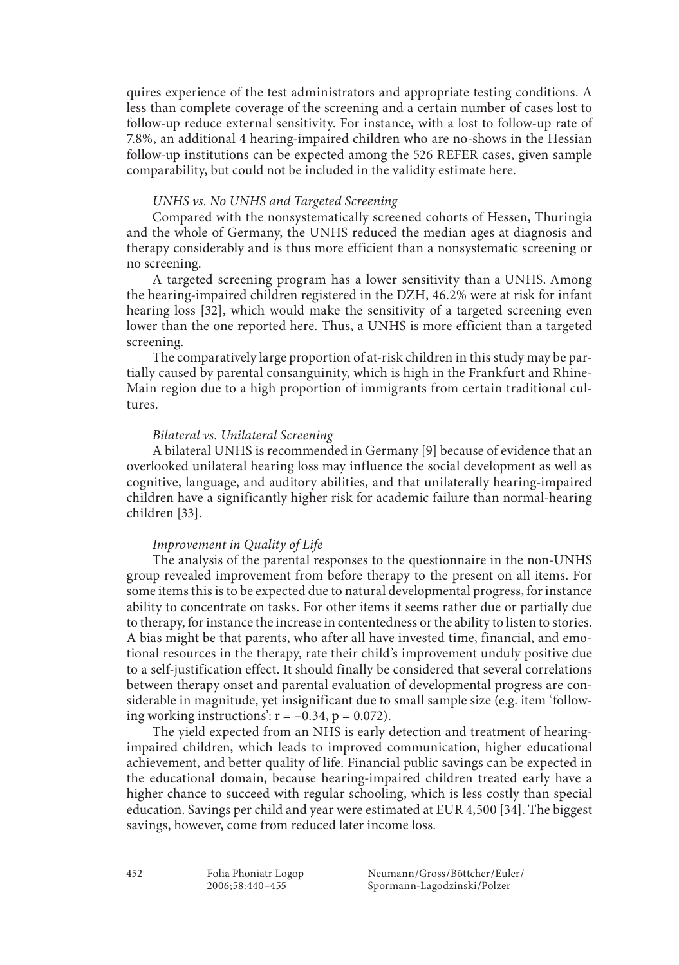quires experience of the test administrators and appropriate testing conditions. A less than complete coverage of the screening and a certain number of cases lost to follow-up reduce external sensitivity. For instance, with a lost to follow-up rate of 7.8%, an additional 4 hearing-impaired children who are no-shows in the Hessian follow-up institutions can be expected among the 526 REFER cases, given sample comparability, but could not be included in the validity estimate here.

### *UNHS vs. No UNHS and Targeted Screening*

 Compared with the nonsystematically screened cohorts of Hessen, Thuringia and the whole of Germany, the UNHS reduced the median ages at diagnosis and therapy considerably and is thus more efficient than a nonsystematic screening or no screening.

 A targeted screening program has a lower sensitivity than a UNHS. Among the hearing-impaired children registered in the DZH, 46.2% were at risk for infant hearing loss [32], which would make the sensitivity of a targeted screening even lower than the one reported here. Thus, a UNHS is more efficient than a targeted screening.

 The comparatively large proportion of at-risk children in this study may be partially caused by parental consanguinity, which is high in the Frankfurt and Rhine-Main region due to a high proportion of immigrants from certain traditional cultures.

### *Bilateral vs. Unilateral Screening*

A bilateral UNHS is recommended in Germany [9] because of evidence that an overlooked unilateral hearing loss may influence the social development as well as cognitive, language, and auditory abilities, and that unilaterally hearing-impaired children have a significantly higher risk for academic failure than normal-hearing children [33].

### *Improvement in Quality of Life*

 The analysis of the parental responses to the questionnaire in the non-UNHS group revealed improvement from before therapy to the present on all items. For some items this is to be expected due to natural developmental progress, for instance ability to concentrate on tasks. For other items it seems rather due or partially due to therapy, for instance the increase in contentedness or the ability to listen to stories. A bias might be that parents, who after all have invested time, financial, and emotional resources in the therapy, rate their child's improvement unduly positive due to a self-justification effect. It should finally be considered that several correlations between therapy onset and parental evaluation of developmental progress are considerable in magnitude, yet insignificant due to small sample size (e.g. item 'following working instructions':  $r = -0.34$ ,  $p = 0.072$ ).

 The yield expected from an NHS is early detection and treatment of hearingimpaired children, which leads to improved communication, higher educational achievement, and better quality of life. Financial public savings can be expected in the educational domain, because hearing-impaired children treated early have a higher chance to succeed with regular schooling, which is less costly than special education. Savings per child and year were estimated at EUR 4,500 [34] . The biggest savings, however, come from reduced later income loss.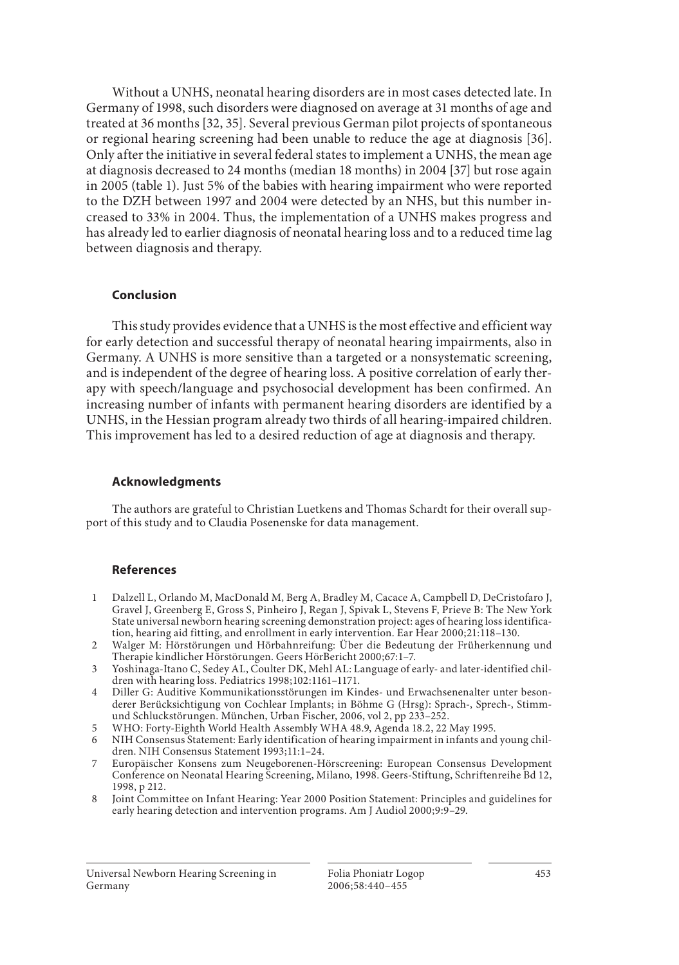Without a UNHS, neonatal hearing disorders are in most cases detected late. In Germany of 1998, such disorders were diagnosed on average at 31 months of age and treated at 36 months [32, 35] . Several previous German pilot projects of spontaneous or regional hearing screening had been unable to reduce the age at diagnosis [36] . Only after the initiative in several federal states to implement a UNHS, the mean age at diagnosis decreased to 24 months (median 18 months) in 2004 [37] but rose again in 2005 (table 1). Just 5% of the babies with hearing impairment who were reported to the DZH between 1997 and 2004 were detected by an NHS, but this number increased to 33% in 2004. Thus, the implementation of a UNHS makes progress and has already led to earlier diagnosis of neonatal hearing loss and to a reduced time lag between diagnosis and therapy.

#### **Conclusion**

 This study provides evidence that a UNHS is the most effective and efficient way for early detection and successful therapy of neonatal hearing impairments, also in Germany. A UNHS is more sensitive than a targeted or a nonsystematic screening, and is independent of the degree of hearing loss. A positive correlation of early therapy with speech/language and psychosocial development has been confirmed. An increasing number of infants with permanent hearing disorders are identified by a UNHS, in the Hessian program already two thirds of all hearing-impaired children. This improvement has led to a desired reduction of age at diagnosis and therapy.

### **Acknowledgments**

 The authors are grateful to Christian Luetkens and Thomas Schardt for their overall support of this study and to Claudia Posenenske for data management.

### **References**

- 1 Dalzell L, Orlando M, MacDonald M, Berg A, Bradley M, Cacace A, Campbell D, DeCristofaro J, Gravel J, Greenberg E, Gross S, Pinheiro J, Regan J, Spivak L, Stevens F, Prieve B: The New York State universal newborn hearing screening demonstration project: ages of hearing loss identification, hearing aid fitting, and enrollment in early intervention. Ear Hear 2000; 21: 118–130.
- 2 Walger M: Hörstörungen und Hörbahnreifung: Über die Bedeutung der Früherkennung und Therapie kindlicher Hörstörungen. Geers HörBericht 2000; 67: 1–7.
- 3 Yoshinaga-Itano C, Sedey AL, Coulter DK, Mehl AL: Language of early- and later-identified children with hearing loss. Pediatrics 1998; 102: 1161–1171.
- 4 Diller G: Auditive Kommunikationsstörungen im Kindes- und Erwachsenenalter unter besonderer Berücksichtigung von Cochlear Implants; in Böhme G (Hrsg): Sprach-, Sprech-, Stimmund Schluckstörungen. München, Urban Fischer, 2006, vol 2, pp 233–252.
- 5 WHO: Forty-Eighth World Health Assembly WHA 48.9, Agenda 18.2, 22 May 1995.
- 6 NIH Consensus Statement: Early identification of hearing impairment in infants and young children. NIH Consensus Statement 1993; 11: 1–24.
- 7 Europäischer Konsens zum Neugeborenen-Hörscreening: European Consensus Development Conference on Neonatal Hearing Screening, Milano, 1998. Geers-Stiftung, Schriftenreihe Bd 12, 1998, p 212.
- 8 Joint Committee on Infant Hearing: Year 2000 Position Statement: Principles and guidelines for early hearing detection and intervention programs. Am J Audiol 2000;9:9-29.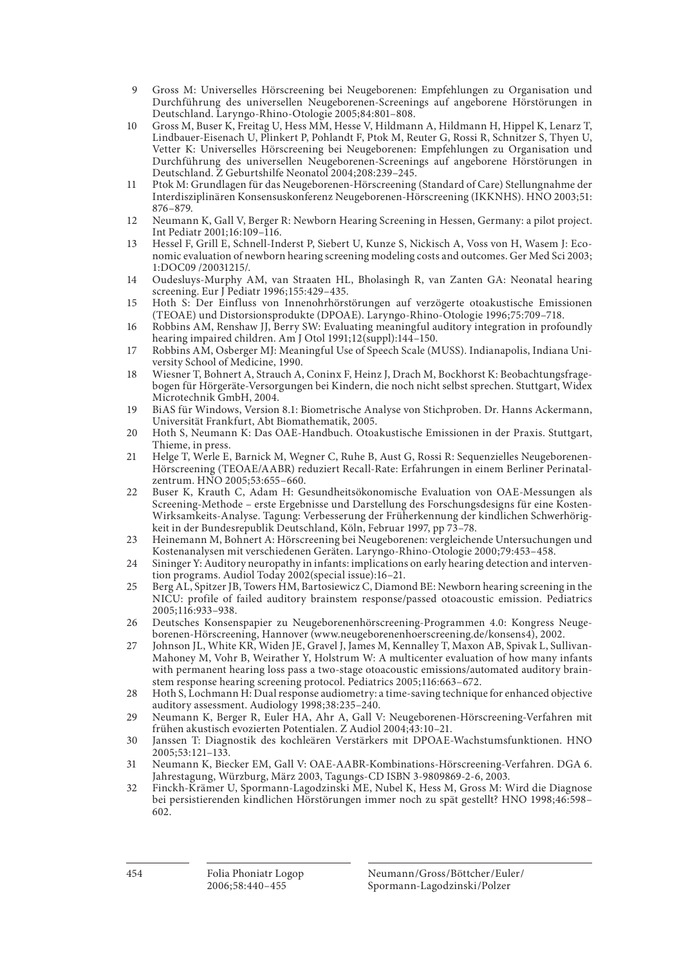- 9 Gross M: Universelles Hörscreening bei Neugeborenen: Empfehlungen zu Organisation und Durchführung des universellen Neugeborenen-Screenings auf angeborene Hörstörungen in Deutschland. Laryngo-Rhino-Otologie 2005; 84: 801–808.
- 10 Gross M, Buser K, Freitag U, Hess MM, Hesse V, Hildmann A, Hildmann H, Hippel K, Lenarz T, Lindbauer-Eisenach U, Plinkert P, Pohlandt F, Ptok M, Reuter G, Rossi R, Schnitzer S, Thyen U, Vetter K: Universelles Hörscreening bei Neugeborenen: Empfehlungen zu Organisation und Durchführung des universellen Neugeborenen-Screenings auf angeborene Hörstörungen in Deutschland. Z Geburtshilfe Neonatol 2004;208:239-245.
- 11 Ptok M: Grundlagen für das Neugeborenen-Hörscreening (Standard of Care) Stellungnahme der Interdisziplinären Konsensuskonferenz Neugeborenen-Hörscreening (IKKNHS). HNO 2003; 51: 876–879.
- 12 Neumann K, Gall V, Berger R: Newborn Hearing Screening in Hessen, Germany: a pilot project. Int Pediatr 2001; 16: 109–116.
- 13 Hessel F, Grill E, Schnell-Inderst P, Siebert U, Kunze S, Nickisch A, Voss von H, Wasem J: Economic evaluation of newborn hearing screening modeling costs and outcomes. Ger Med Sci 2003; 1:DOC09 /20031215/.
- 14 Oudesluys-Murphy AM, van Straaten HL, Bholasingh R, van Zanten GA: Neonatal hearing screening. Eur J Pediatr 1996; 155: 429–435.
- 15 Hoth S: Der Einfluss von Innenohrhörstörungen auf verzögerte otoakustische Emissionen (TEOAE) und Distorsionsprodukte (DPOAE). Laryngo-Rhino-Otologie 1996; 75: 709–718.
- 16 Robbins AM, Renshaw JJ, Berry SW: Evaluating meaningful auditory integration in profoundly hearing impaired children. Am J Otol 1991; 12(suppl):144–150.
- 17 Robbins AM, Osberger MJ: Meaningful Use of Speech Scale (MUSS). Indianapolis, Indiana University School of Medicine, 1990.
- 18 Wiesner T, Bohnert A, Strauch A, Coninx F, Heinz J, Drach M, Bockhorst K: Beobachtungsfragebogen für Hörgeräte-Versorgungen bei Kindern, die noch nicht selbst sprechen. Stuttgart, Widex Microtechnik GmbH, 2004.
- 19 BiAS für Windows, Version 8.1: Biometrische Analyse von Stichproben. Dr. Hanns Ackermann, Universität Frankfurt, Abt Biomathematik, 2005.
- 20 Hoth S, Neumann K: Das OAE-Handbuch. Otoakustische Emissionen in der Praxis. Stuttgart, Thieme, in press.
- 21 Helge T, Werle E, Barnick M, Wegner C, Ruhe B, Aust G, Rossi R: Sequenzielles Neugeborenen-Hörscreening (TEOAE/AABR) reduziert Recall-Rate: Erfahrungen in einem Berliner Perinatalzentrum. HNO 2005; 53: 655–660.
- 22 Buser K, Krauth C, Adam H: Gesundheitsökonomische Evaluation von OAE-Messungen als Screening-Methode – erste Ergebnisse und Darstellung des Forschungsdesigns für eine Kosten-Wirksamkeits-Analyse. Tagung: Verbesserung der Früherkennung der kindlichen Schwerhörigkeit in der Bundesrepublik Deutschland, Köln, Februar 1997, pp 73–78.
- 23 Heinemann M, Bohnert A: Hörscreening bei Neugeborenen: vergleichende Untersuchungen und Kostenanalysen mit verschiedenen Geräten. Laryngo-Rhino-Otologie 2000; 79: 453–458.
- 24 Sininger Y: Auditory neuropathy in infants: implications on early hearing detection and intervention programs. Audiol Today 2002(special issue):16–21.
- 25 Berg AL, Spitzer JB, Towers HM, Bartosiewicz C, Diamond BE: Newborn hearing screening in the NICU: profile of failed auditory brainstem response/passed otoacoustic emission. Pediatrics 2005; 116: 933–938.
- 26 Deutsches Konsenspapier zu Neugeborenenhörscreening-Programmen 4.0: Kongress Neugeborenen-Hörscreening, Hannover (www.neugeborenenhoerscreening.de/konsens4), 2002.
- 27 Johnson JL, White KR, Widen JE, Gravel J, James M, Kennalley T, Maxon AB, Spivak L, Sullivan-Mahoney M, Vohr B, Weirather Y, Holstrum W: A multicenter evaluation of how many infants with permanent hearing loss pass a two-stage otoacoustic emissions/automated auditory brainstem response hearing screening protocol. Pediatrics 2005;116:663-672.
- 28 Hoth S, Lochmann H: Dual response audiometry: a time-saving technique for enhanced objective auditory assessment. Audiology 1998;38:235-240.
- 29 Neumann K, Berger R, Euler HA, Ahr A, Gall V: Neugeborenen-Hörscreening-Verfahren mit frühen akustisch evozierten Potentialen. Z Audiol 2004; 43: 10–21.
- 30 Janssen T: Diagnostik des kochleären Verstärkers mit DPOAE-Wachstumsfunktionen. HNO 2005; 53: 121–133.
- 31 Neumann K, Biecker EM, Gall V: OAE-AABR-Kombinations-Hörscreening-Verfahren. DGA 6. Jahrestagung, Würzburg, März 2003, Tagungs-CD ISBN 3-9809869-2-6, 2003.
- 32 Finckh-Krämer U, Spormann-Lagodzinski ME, Nubel K, Hess M, Gross M: Wird die Diagnose bei persistierenden kindlichen Hörstörungen immer noch zu spät gestellt? HNO 1998; 46: 598– 602.